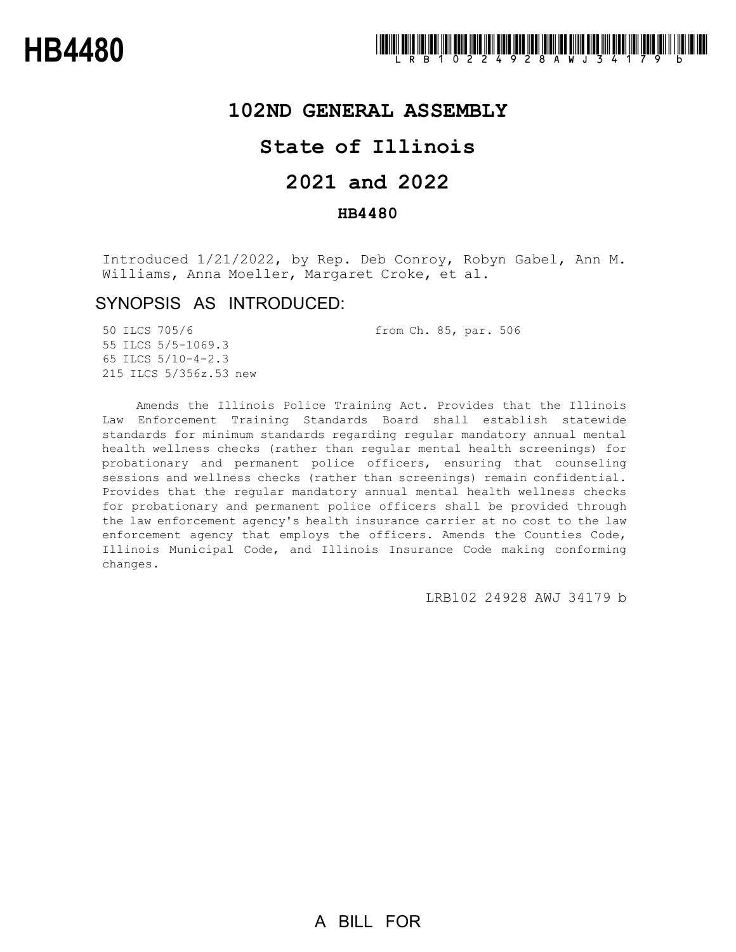

## **102ND GENERAL ASSEMBLY**

## **State of Illinois**

# **2021 and 2022**

### **HB4480**

Introduced 1/21/2022, by Rep. Deb Conroy, Robyn Gabel, Ann M. Williams, Anna Moeller, Margaret Croke, et al.

## SYNOPSIS AS INTRODUCED:

50 ILCS 705/6 from Ch. 85, par. 506

55 ILCS 5/5-1069.3 65 ILCS 5/10-4-2.3 215 ILCS 5/356z.53 new

Amends the Illinois Police Training Act. Provides that the Illinois Law Enforcement Training Standards Board shall establish statewide standards for minimum standards regarding regular mandatory annual mental health wellness checks (rather than regular mental health screenings) for probationary and permanent police officers, ensuring that counseling sessions and wellness checks (rather than screenings) remain confidential. Provides that the regular mandatory annual mental health wellness checks for probationary and permanent police officers shall be provided through the law enforcement agency's health insurance carrier at no cost to the law enforcement agency that employs the officers. Amends the Counties Code, Illinois Municipal Code, and Illinois Insurance Code making conforming changes.

LRB102 24928 AWJ 34179 b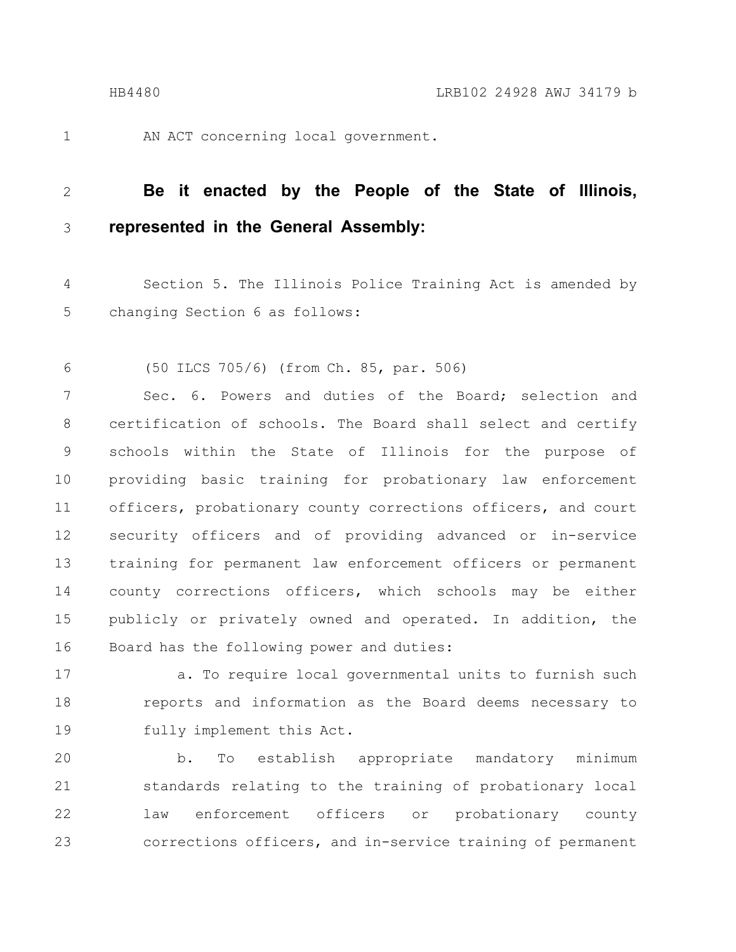1

AN ACT concerning local government.

#### **Be it enacted by the People of the State of Illinois, represented in the General Assembly:** 2 3

Section 5. The Illinois Police Training Act is amended by changing Section 6 as follows: 4 5

(50 ILCS 705/6) (from Ch. 85, par. 506) 6

Sec. 6. Powers and duties of the Board; selection and certification of schools. The Board shall select and certify schools within the State of Illinois for the purpose of providing basic training for probationary law enforcement officers, probationary county corrections officers, and court security officers and of providing advanced or in-service training for permanent law enforcement officers or permanent county corrections officers, which schools may be either publicly or privately owned and operated. In addition, the Board has the following power and duties: 7 8 9 10 11 12 13 14 15 16

a. To require local governmental units to furnish such reports and information as the Board deems necessary to fully implement this Act. 17 18 19

b. To establish appropriate mandatory minimum standards relating to the training of probationary local law enforcement officers or probationary county corrections officers, and in-service training of permanent 20 21 22 23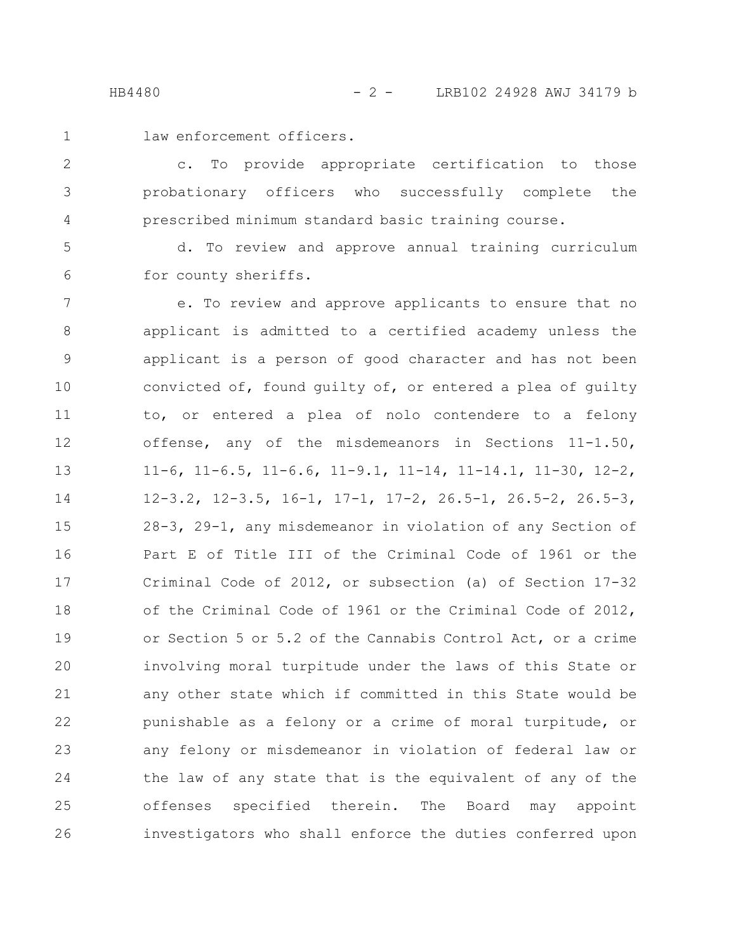- 
- 1

law enforcement officers.

c. To provide appropriate certification to those probationary officers who successfully complete the prescribed minimum standard basic training course. 2 3 4

d. To review and approve annual training curriculum for county sheriffs. 5 6

e. To review and approve applicants to ensure that no applicant is admitted to a certified academy unless the applicant is a person of good character and has not been convicted of, found guilty of, or entered a plea of guilty to, or entered a plea of nolo contendere to a felony offense, any of the misdemeanors in Sections 11-1.50, 11-6, 11-6.5, 11-6.6, 11-9.1, 11-14, 11-14.1, 11-30, 12-2, 12-3.2, 12-3.5, 16-1, 17-1, 17-2, 26.5-1, 26.5-2, 26.5-3, 28-3, 29-1, any misdemeanor in violation of any Section of Part E of Title III of the Criminal Code of 1961 or the Criminal Code of 2012, or subsection (a) of Section 17-32 of the Criminal Code of 1961 or the Criminal Code of 2012, or Section 5 or 5.2 of the Cannabis Control Act, or a crime involving moral turpitude under the laws of this State or any other state which if committed in this State would be punishable as a felony or a crime of moral turpitude, or any felony or misdemeanor in violation of federal law or the law of any state that is the equivalent of any of the offenses specified therein. The Board may appoint investigators who shall enforce the duties conferred upon 7 8 9 10 11 12 13 14 15 16 17 18 19 20 21 22 23 24 25 26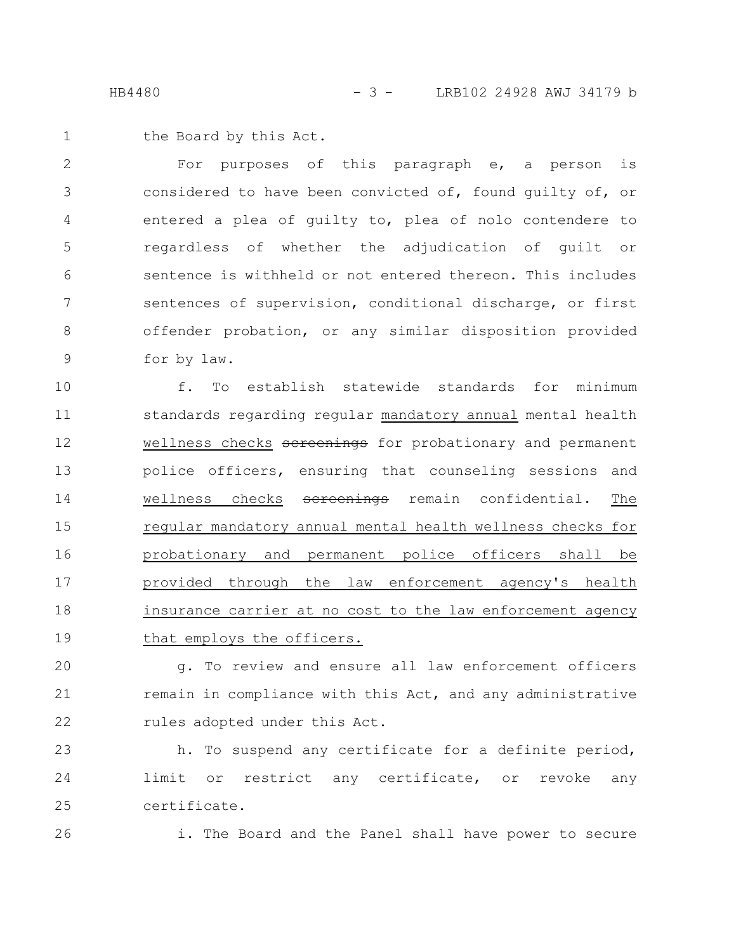HB4480 - 3 - LRB102 24928 AWJ 34179 b

the Board by this Act. 1

For purposes of this paragraph e, a person is considered to have been convicted of, found guilty of, or entered a plea of guilty to, plea of nolo contendere to regardless of whether the adjudication of guilt or sentence is withheld or not entered thereon. This includes sentences of supervision, conditional discharge, or first offender probation, or any similar disposition provided for by law. 2 3 4 5 6 7 8 9

f. To establish statewide standards for minimum standards regarding regular mandatory annual mental health wellness checks sereenings for probationary and permanent police officers, ensuring that counseling sessions and wellness checks sereenings remain confidential. The regular mandatory annual mental health wellness checks for probationary and permanent police officers shall be provided through the law enforcement agency's health insurance carrier at no cost to the law enforcement agency that employs the officers. 10 11 12 13 14 15 16 17 18 19

g. To review and ensure all law enforcement officers remain in compliance with this Act, and any administrative rules adopted under this Act. 20 21 22

h. To suspend any certificate for a definite period, limit or restrict any certificate, or revoke any certificate. 23 24 25

26

i. The Board and the Panel shall have power to secure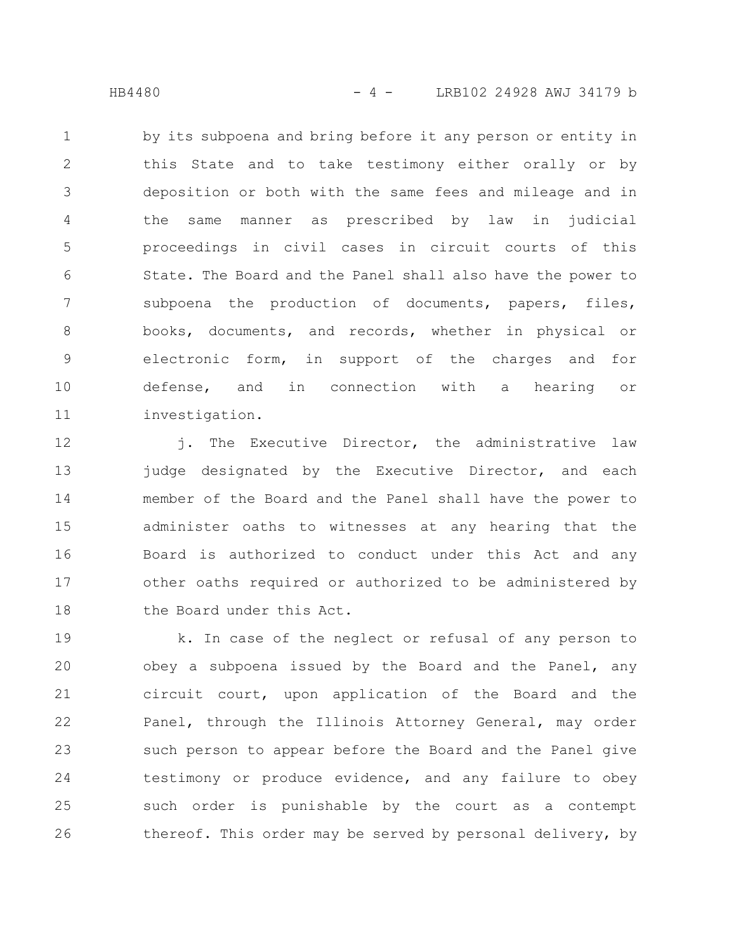HB4480 - 4 - LRB102 24928 AWJ 34179 b

by its subpoena and bring before it any person or entity in this State and to take testimony either orally or by deposition or both with the same fees and mileage and in the same manner as prescribed by law in judicial proceedings in civil cases in circuit courts of this State. The Board and the Panel shall also have the power to subpoena the production of documents, papers, files, books, documents, and records, whether in physical or electronic form, in support of the charges and for defense, and in connection with a hearing or investigation. 1 2 3 4 5 6 7 8 9 10 11

j. The Executive Director, the administrative law judge designated by the Executive Director, and each member of the Board and the Panel shall have the power to administer oaths to witnesses at any hearing that the Board is authorized to conduct under this Act and any other oaths required or authorized to be administered by the Board under this Act. 12 13 14 15 16 17 18

k. In case of the neglect or refusal of any person to obey a subpoena issued by the Board and the Panel, any circuit court, upon application of the Board and the Panel, through the Illinois Attorney General, may order such person to appear before the Board and the Panel give testimony or produce evidence, and any failure to obey such order is punishable by the court as a contempt thereof. This order may be served by personal delivery, by 19 20 21 22 23 24 25 26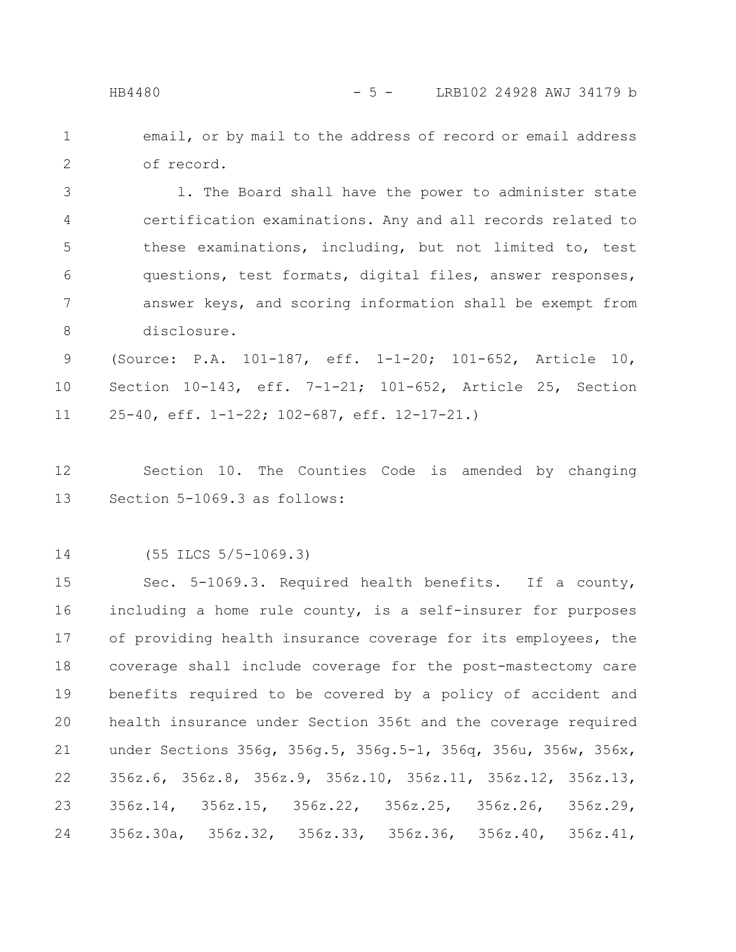email, or by mail to the address of record or email address of record. 1 2

l. The Board shall have the power to administer state certification examinations. Any and all records related to these examinations, including, but not limited to, test questions, test formats, digital files, answer responses, answer keys, and scoring information shall be exempt from disclosure. 3 4 5 6 7 8

(Source: P.A. 101-187, eff. 1-1-20; 101-652, Article 10, Section 10-143, eff. 7-1-21; 101-652, Article 25, Section 25-40, eff. 1-1-22; 102-687, eff. 12-17-21.) 9 10 11

Section 10. The Counties Code is amended by changing Section 5-1069.3 as follows: 12 13

(55 ILCS 5/5-1069.3) 14

Sec. 5-1069.3. Required health benefits. If a county, including a home rule county, is a self-insurer for purposes of providing health insurance coverage for its employees, the coverage shall include coverage for the post-mastectomy care benefits required to be covered by a policy of accident and health insurance under Section 356t and the coverage required under Sections 356g, 356g.5, 356g.5-1, 356q, 356u, 356w, 356x, 356z.6, 356z.8, 356z.9, 356z.10, 356z.11, 356z.12, 356z.13, 356z.14, 356z.15, 356z.22, 356z.25, 356z.26, 356z.29, 356z.30a, 356z.32, 356z.33, 356z.36, 356z.40, 356z.41, 15 16 17 18 19 20 21 22 23 24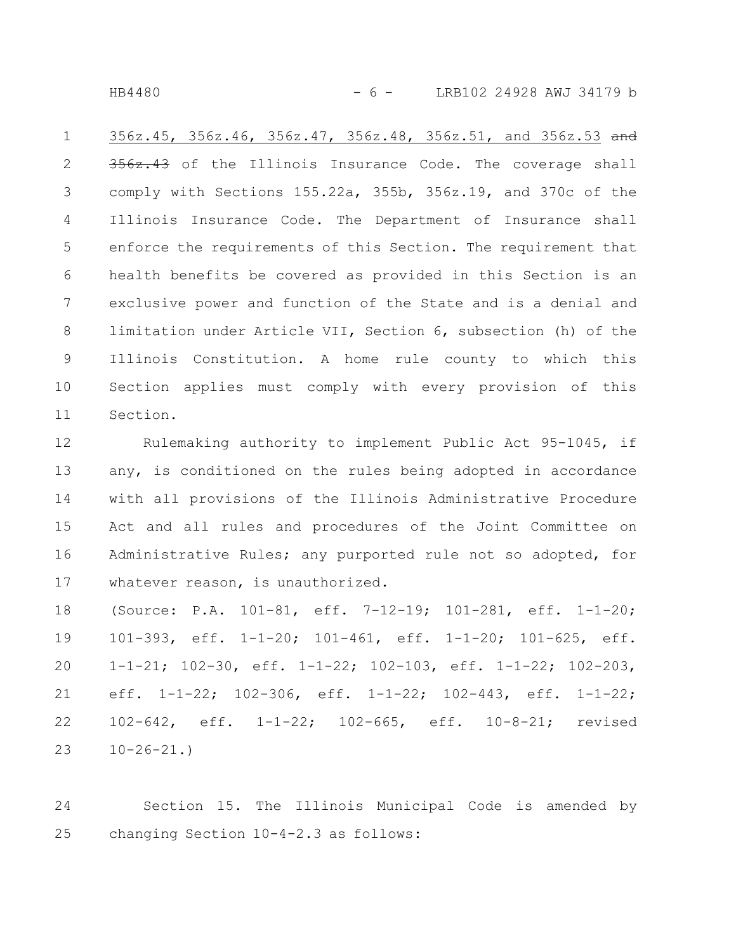HB4480 - 6 - LRB102 24928 AWJ 34179 b

356z.45, 356z.46, 356z.47, 356z.48, 356z.51, and 356z.53 and 356z.43 of the Illinois Insurance Code. The coverage shall comply with Sections 155.22a, 355b, 356z.19, and 370c of the Illinois Insurance Code. The Department of Insurance shall enforce the requirements of this Section. The requirement that health benefits be covered as provided in this Section is an exclusive power and function of the State and is a denial and limitation under Article VII, Section 6, subsection (h) of the Illinois Constitution. A home rule county to which this Section applies must comply with every provision of this Section. 1 2 3 4 5 6 7 8 9 10 11

Rulemaking authority to implement Public Act 95-1045, if any, is conditioned on the rules being adopted in accordance with all provisions of the Illinois Administrative Procedure Act and all rules and procedures of the Joint Committee on Administrative Rules; any purported rule not so adopted, for whatever reason, is unauthorized. 12 13 14 15 16 17

(Source: P.A. 101-81, eff. 7-12-19; 101-281, eff. 1-1-20; 101-393, eff. 1-1-20; 101-461, eff. 1-1-20; 101-625, eff. 1-1-21; 102-30, eff. 1-1-22; 102-103, eff. 1-1-22; 102-203, eff. 1-1-22; 102-306, eff. 1-1-22; 102-443, eff. 1-1-22; 102-642, eff. 1-1-22; 102-665, eff. 10-8-21; revised  $10-26-21.$ 18 19 20 21 22 23

Section 15. The Illinois Municipal Code is amended by changing Section 10-4-2.3 as follows: 24 25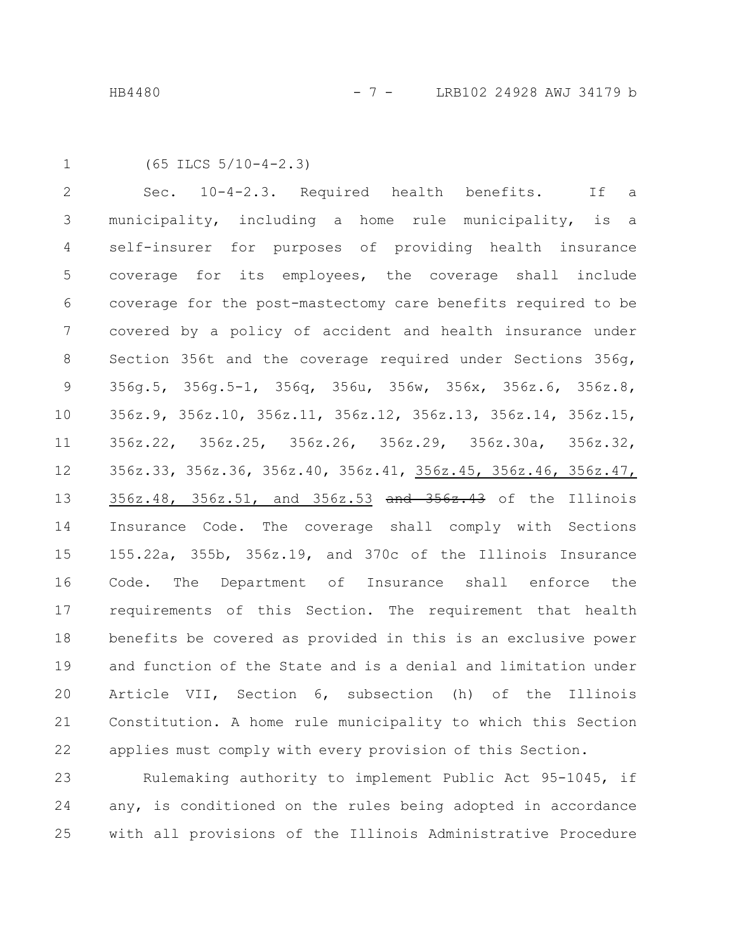```
1
```
(65 ILCS 5/10-4-2.3)

Sec. 10-4-2.3. Required health benefits. If a municipality, including a home rule municipality, is a self-insurer for purposes of providing health insurance coverage for its employees, the coverage shall include coverage for the post-mastectomy care benefits required to be covered by a policy of accident and health insurance under Section 356t and the coverage required under Sections 356g, 356g.5, 356g.5-1, 356q, 356u, 356w, 356x, 356z.6, 356z.8, 356z.9, 356z.10, 356z.11, 356z.12, 356z.13, 356z.14, 356z.15, 356z.22, 356z.25, 356z.26, 356z.29, 356z.30a, 356z.32, 356z.33, 356z.36, 356z.40, 356z.41, 356z.45, 356z.46, 356z.47, 356z.48, 356z.51, and 356z.53 and 356z.43 of the Illinois Insurance Code. The coverage shall comply with Sections 155.22a, 355b, 356z.19, and 370c of the Illinois Insurance Code. The Department of Insurance shall enforce the requirements of this Section. The requirement that health benefits be covered as provided in this is an exclusive power and function of the State and is a denial and limitation under Article VII, Section 6, subsection (h) of the Illinois Constitution. A home rule municipality to which this Section applies must comply with every provision of this Section. 2 3 4 5 6 7 8 9 10 11 12 13 14 15 16 17 18 19 20 21 22

Rulemaking authority to implement Public Act 95-1045, if any, is conditioned on the rules being adopted in accordance with all provisions of the Illinois Administrative Procedure 23 24 25